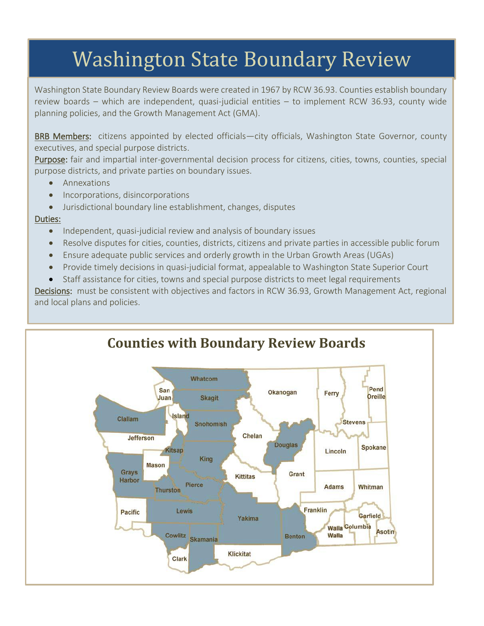# Washington State Boundary Review

Washington State Boundary Review Boards were created in 1967 by RCW 36.93. Counties establish boundary review boards – which are independent, quasi-judicial entities – to implement RCW 36.93, county wide planning policies, and the Growth Management Act (GMA).

BRB Members: citizens appointed by elected officials—city officials, Washington State Governor, county executives, and special purpose districts.

Purpose: fair and impartial inter-governmental decision process for citizens, cities, towns, counties, special purpose districts, and private parties on boundary issues.

- Annexations
- Incorporations, disincorporations
- Jurisdictional boundary line establishment, changes, disputes

## Duties:

- Independent, quasi-judicial review and analysis of boundary issues
- Resolve disputes for cities, counties, districts, citizens and private parties in accessible public forum
- Ensure adequate public services and orderly growth in the Urban Growth Areas (UGAs)
- Provide timely decisions in quasi-judicial format, appealable to Washington State Superior Court
- Staff assistance for cities, towns and special purpose districts to meet legal requirements

Decisions: must be consistent with objectives and factors in RCW 36.93, Growth Management Act, regional and local plans and policies.

## **Counties with Boundary Review Boards**